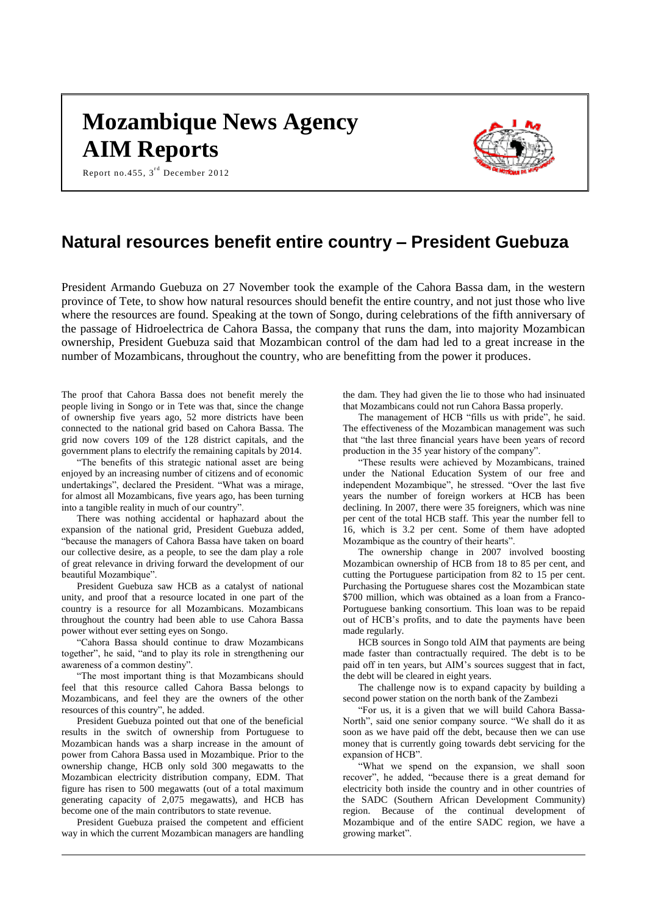# **Mozambique News Agency AIM Reports**



Report no. 455,  $3^{\text{rd}}$  December 2012

# **Natural resources benefit entire country – President Guebuza**

President Armando Guebuza on 27 November took the example of the Cahora Bassa dam, in the western province of Tete, to show how natural resources should benefit the entire country, and not just those who live where the resources are found. Speaking at the town of Songo, during celebrations of the fifth anniversary of the passage of Hidroelectrica de Cahora Bassa, the company that runs the dam, into majority Mozambican ownership, President Guebuza said that Mozambican control of the dam had led to a great increase in the number of Mozambicans, throughout the country, who are benefitting from the power it produces.

The proof that Cahora Bassa does not benefit merely the people living in Songo or in Tete was that, since the change of ownership five years ago, 52 more districts have been connected to the national grid based on Cahora Bassa. The grid now covers 109 of the 128 district capitals, and the government plans to electrify the remaining capitals by 2014.

"The benefits of this strategic national asset are being enjoyed by an increasing number of citizens and of economic undertakings", declared the President. "What was a mirage, for almost all Mozambicans, five years ago, has been turning into a tangible reality in much of our country".

There was nothing accidental or haphazard about the expansion of the national grid, President Guebuza added, "because the managers of Cahora Bassa have taken on board our collective desire, as a people, to see the dam play a role of great relevance in driving forward the development of our beautiful Mozambique".

President Guebuza saw HCB as a catalyst of national unity, and proof that a resource located in one part of the country is a resource for all Mozambicans. Mozambicans throughout the country had been able to use Cahora Bassa power without ever setting eyes on Songo.

"Cahora Bassa should continue to draw Mozambicans together", he said, "and to play its role in strengthening our awareness of a common destiny".

"The most important thing is that Mozambicans should feel that this resource called Cahora Bassa belongs to Mozambicans, and feel they are the owners of the other resources of this country", he added.

President Guebuza pointed out that one of the beneficial results in the switch of ownership from Portuguese to Mozambican hands was a sharp increase in the amount of power from Cahora Bassa used in Mozambique. Prior to the ownership change, HCB only sold 300 megawatts to the Mozambican electricity distribution company, EDM. That figure has risen to 500 megawatts (out of a total maximum generating capacity of 2,075 megawatts), and HCB has become one of the main contributors to state revenue.

President Guebuza praised the competent and efficient way in which the current Mozambican managers are handling the dam. They had given the lie to those who had insinuated that Mozambicans could not run Cahora Bassa properly.

The management of HCB "fills us with pride", he said. The effectiveness of the Mozambican management was such that "the last three financial years have been years of record production in the 35 year history of the company".

"These results were achieved by Mozambicans, trained under the National Education System of our free and independent Mozambique", he stressed. "Over the last five years the number of foreign workers at HCB has been declining. In 2007, there were 35 foreigners, which was nine per cent of the total HCB staff. This year the number fell to 16, which is 3.2 per cent. Some of them have adopted Mozambique as the country of their hearts".

The ownership change in 2007 involved boosting Mozambican ownership of HCB from 18 to 85 per cent, and cutting the Portuguese participation from 82 to 15 per cent. Purchasing the Portuguese shares cost the Mozambican state \$700 million, which was obtained as a loan from a Franco-Portuguese banking consortium. This loan was to be repaid out of HCB's profits, and to date the payments have been made regularly.

HCB sources in Songo told AIM that payments are being made faster than contractually required. The debt is to be paid off in ten years, but AIM's sources suggest that in fact, the debt will be cleared in eight years.

The challenge now is to expand capacity by building a second power station on the north bank of the Zambezi

"For us, it is a given that we will build Cahora Bassa-North", said one senior company source. "We shall do it as soon as we have paid off the debt, because then we can use money that is currently going towards debt servicing for the expansion of HCB".

"What we spend on the expansion, we shall soon recover", he added, "because there is a great demand for electricity both inside the country and in other countries of the SADC (Southern African Development Community) region. Because of the continual development of Mozambique and of the entire SADC region, we have a growing market".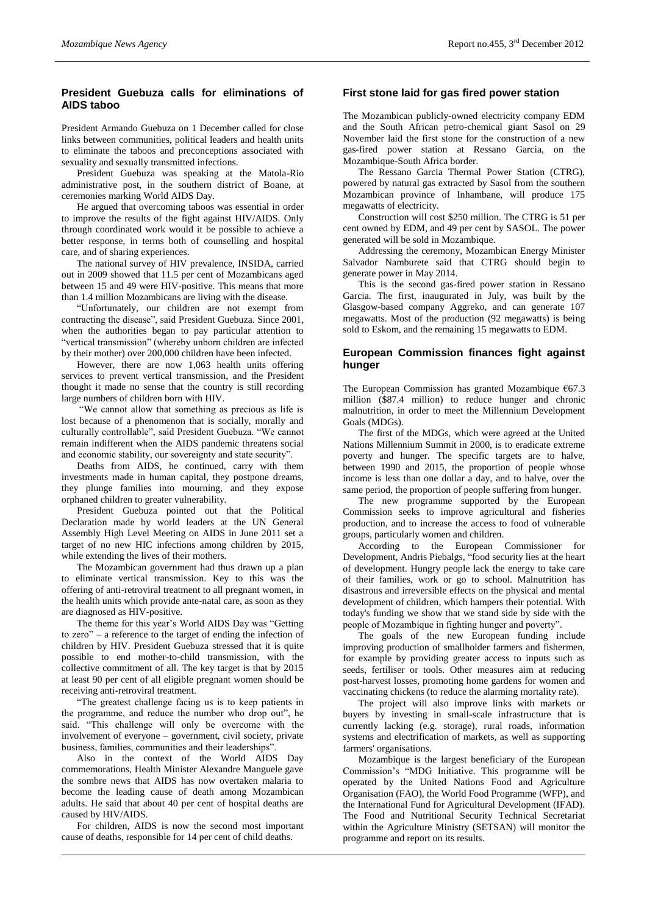# **President Guebuza calls for eliminations of AIDS taboo**

President Armando Guebuza on 1 December called for close links between communities, political leaders and health units to eliminate the taboos and preconceptions associated with sexuality and sexually transmitted infections.

President Guebuza was speaking at the Matola-Rio administrative post, in the southern district of Boane, at ceremonies marking World AIDS Day.

He argued that overcoming taboos was essential in order to improve the results of the fight against HIV/AIDS. Only through coordinated work would it be possible to achieve a better response, in terms both of counselling and hospital care, and of sharing experiences.

The national survey of HIV prevalence, INSIDA, carried out in 2009 showed that 11.5 per cent of Mozambicans aged between 15 and 49 were HIV-positive. This means that more than 1.4 million Mozambicans are living with the disease.

"Unfortunately, our children are not exempt from contracting the disease", said President Guebuza. Since 2001, when the authorities began to pay particular attention to "vertical transmission" (whereby unborn children are infected by their mother) over 200,000 children have been infected.

However, there are now 1,063 health units offering services to prevent vertical transmission, and the President thought it made no sense that the country is still recording large numbers of children born with HIV.

"We cannot allow that something as precious as life is lost because of a phenomenon that is socially, morally and culturally controllable", said President Guebuza. "We cannot remain indifferent when the AIDS pandemic threatens social and economic stability, our sovereignty and state security".

Deaths from AIDS, he continued, carry with them investments made in human capital, they postpone dreams, they plunge families into mourning, and they expose orphaned children to greater vulnerability.

President Guebuza pointed out that the Political Declaration made by world leaders at the UN General Assembly High Level Meeting on AIDS in June 2011 set a target of no new HIC infections among children by 2015, while extending the lives of their mothers.

The Mozambican government had thus drawn up a plan to eliminate vertical transmission. Key to this was the offering of anti-retroviral treatment to all pregnant women, in the health units which provide ante-natal care, as soon as they are diagnosed as HIV-positive.

The theme for this year's World AIDS Day was "Getting to zero" – a reference to the target of ending the infection of children by HIV. President Guebuza stressed that it is quite possible to end mother-to-child transmission, with the collective commitment of all. The key target is that by 2015 at least 90 per cent of all eligible pregnant women should be receiving anti-retroviral treatment.

"The greatest challenge facing us is to keep patients in the programme, and reduce the number who drop out", he said. "This challenge will only be overcome with the involvement of everyone – government, civil society, private business, families, communities and their leaderships".

Also in the context of the World AIDS Day commemorations, Health Minister Alexandre Manguele gave the sombre news that AIDS has now overtaken malaria to become the leading cause of death among Mozambican adults. He said that about 40 per cent of hospital deaths are caused by HIV/AIDS.

For children, AIDS is now the second most important cause of deaths, responsible for 14 per cent of child deaths.

#### **First stone laid for gas fired power station**

The Mozambican publicly-owned electricity company EDM and the South African petro-chemical giant Sasol on 29 November laid the first stone for the construction of a new gas-fired power station at Ressano Garcia, on the Mozambique-South Africa border.

The Ressano Garcia Thermal Power Station (CTRG), powered by natural gas extracted by Sasol from the southern Mozambican province of Inhambane, will produce 175 megawatts of electricity.

Construction will cost \$250 million. The CTRG is 51 per cent owned by EDM, and 49 per cent by SASOL. The power generated will be sold in Mozambique.

Addressing the ceremony, Mozambican Energy Minister Salvador Namburete said that CTRG should begin to generate power in May 2014.

This is the second gas-fired power station in Ressano Garcia. The first, inaugurated in July, was built by the Glasgow-based company Aggreko, and can generate 107 megawatts. Most of the production (92 megawatts) is being sold to Eskom, and the remaining 15 megawatts to EDM.

### **European Commission finances fight against hunger**

The European Commission has granted Mozambique  $€67.3$ million (\$87.4 million) to reduce hunger and chronic malnutrition, in order to meet the Millennium Development Goals (MDGs).

The first of the MDGs, which were agreed at the United Nations Millennium Summit in 2000, is to eradicate extreme poverty and hunger. The specific targets are to halve, between 1990 and 2015, the proportion of people whose income is less than one dollar a day, and to halve, over the same period, the proportion of people suffering from hunger.

The new programme supported by the European Commission seeks to improve agricultural and fisheries production, and to increase the access to food of vulnerable groups, particularly women and children.

According to the European Commissioner for Development, Andris Piebalgs, "food security lies at the heart of development. Hungry people lack the energy to take care of their families, work or go to school. Malnutrition has disastrous and irreversible effects on the physical and mental development of children, which hampers their potential. With today's funding we show that we stand side by side with the people of Mozambique in fighting hunger and poverty".

The goals of the new European funding include improving production of smallholder farmers and fishermen, for example by providing greater access to inputs such as seeds, fertiliser or tools. Other measures aim at reducing post-harvest losses, promoting home gardens for women and vaccinating chickens (to reduce the alarming mortality rate).

The project will also improve links with markets or buyers by investing in small-scale infrastructure that is currently lacking (e.g. storage), rural roads, information systems and electrification of markets, as well as supporting farmers' organisations.

Mozambique is the largest beneficiary of the European Commission's "MDG Initiative. This programme will be operated by the United Nations Food and Agriculture Organisation (FAO), the World Food Programme (WFP), and the International Fund for Agricultural Development (IFAD). The Food and Nutritional Security Technical Secretariat within the Agriculture Ministry (SETSAN) will monitor the programme and report on its results.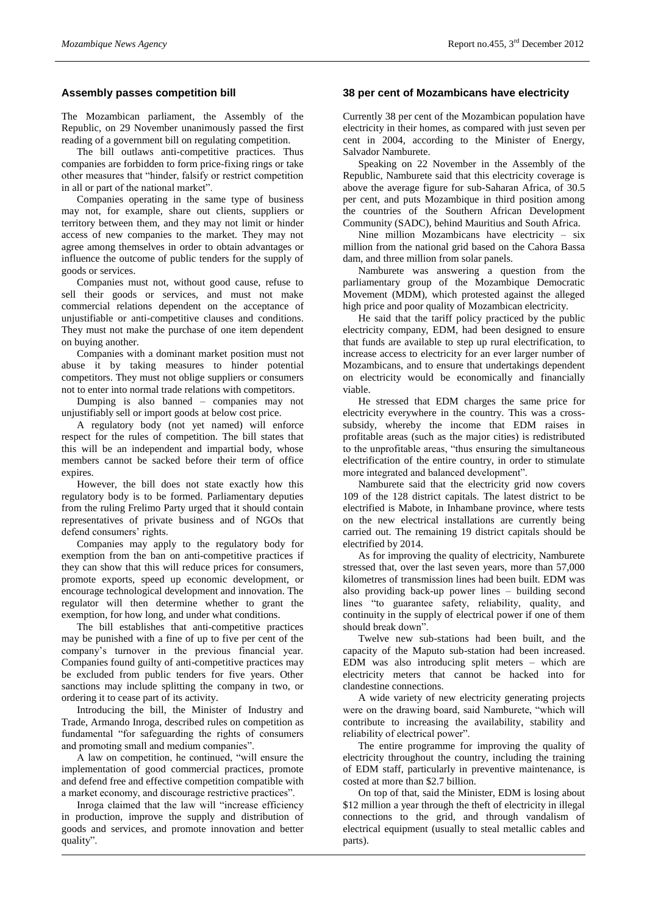## **Assembly passes competition bill**

The Mozambican parliament, the Assembly of the Republic, on 29 November unanimously passed the first reading of a government bill on regulating competition.

The bill outlaws anti-competitive practices. Thus companies are forbidden to form price-fixing rings or take other measures that "hinder, falsify or restrict competition in all or part of the national market".

Companies operating in the same type of business may not, for example, share out clients, suppliers or territory between them, and they may not limit or hinder access of new companies to the market. They may not agree among themselves in order to obtain advantages or influence the outcome of public tenders for the supply of goods or services.

Companies must not, without good cause, refuse to sell their goods or services, and must not make commercial relations dependent on the acceptance of unjustifiable or anti-competitive clauses and conditions. They must not make the purchase of one item dependent on buying another.

Companies with a dominant market position must not abuse it by taking measures to hinder potential competitors. They must not oblige suppliers or consumers not to enter into normal trade relations with competitors.

Dumping is also banned – companies may not unjustifiably sell or import goods at below cost price.

A regulatory body (not yet named) will enforce respect for the rules of competition. The bill states that this will be an independent and impartial body, whose members cannot be sacked before their term of office expires.

However, the bill does not state exactly how this regulatory body is to be formed. Parliamentary deputies from the ruling Frelimo Party urged that it should contain representatives of private business and of NGOs that defend consumers' rights.

Companies may apply to the regulatory body for exemption from the ban on anti-competitive practices if they can show that this will reduce prices for consumers, promote exports, speed up economic development, or encourage technological development and innovation. The regulator will then determine whether to grant the exemption, for how long, and under what conditions.

The bill establishes that anti-competitive practices may be punished with a fine of up to five per cent of the company's turnover in the previous financial year. Companies found guilty of anti-competitive practices may be excluded from public tenders for five years. Other sanctions may include splitting the company in two, or ordering it to cease part of its activity.

Introducing the bill, the Minister of Industry and Trade, Armando Inroga, described rules on competition as fundamental "for safeguarding the rights of consumers and promoting small and medium companies".

A law on competition, he continued, "will ensure the implementation of good commercial practices, promote and defend free and effective competition compatible with a market economy, and discourage restrictive practices".

Inroga claimed that the law will "increase efficiency in production, improve the supply and distribution of goods and services, and promote innovation and better quality".

#### **38 per cent of Mozambicans have electricity**

Currently 38 per cent of the Mozambican population have electricity in their homes, as compared with just seven per cent in 2004, according to the Minister of Energy, Salvador Namburete.

Speaking on 22 November in the Assembly of the Republic, Namburete said that this electricity coverage is above the average figure for sub-Saharan Africa, of 30.5 per cent, and puts Mozambique in third position among the countries of the Southern African Development Community (SADC), behind Mauritius and South Africa.

Nine million Mozambicans have electricity  $-$  six million from the national grid based on the Cahora Bassa dam, and three million from solar panels.

Namburete was answering a question from the parliamentary group of the Mozambique Democratic Movement (MDM), which protested against the alleged high price and poor quality of Mozambican electricity.

He said that the tariff policy practiced by the public electricity company, EDM, had been designed to ensure that funds are available to step up rural electrification, to increase access to electricity for an ever larger number of Mozambicans, and to ensure that undertakings dependent on electricity would be economically and financially viable.

He stressed that EDM charges the same price for electricity everywhere in the country. This was a crosssubsidy, whereby the income that EDM raises in profitable areas (such as the major cities) is redistributed to the unprofitable areas, "thus ensuring the simultaneous electrification of the entire country, in order to stimulate more integrated and balanced development".

Namburete said that the electricity grid now covers 109 of the 128 district capitals. The latest district to be electrified is Mabote, in Inhambane province, where tests on the new electrical installations are currently being carried out. The remaining 19 district capitals should be electrified by 2014.

As for improving the quality of electricity, Namburete stressed that, over the last seven years, more than 57,000 kilometres of transmission lines had been built. EDM was also providing back-up power lines – building second lines "to guarantee safety, reliability, quality, and continuity in the supply of electrical power if one of them should break down".

Twelve new sub-stations had been built, and the capacity of the Maputo sub-station had been increased. EDM was also introducing split meters – which are electricity meters that cannot be hacked into for clandestine connections.

A wide variety of new electricity generating projects were on the drawing board, said Namburete, "which will contribute to increasing the availability, stability and reliability of electrical power".

The entire programme for improving the quality of electricity throughout the country, including the training of EDM staff, particularly in preventive maintenance, is costed at more than \$2.7 billion.

On top of that, said the Minister, EDM is losing about \$12 million a year through the theft of electricity in illegal connections to the grid, and through vandalism of electrical equipment (usually to steal metallic cables and parts).